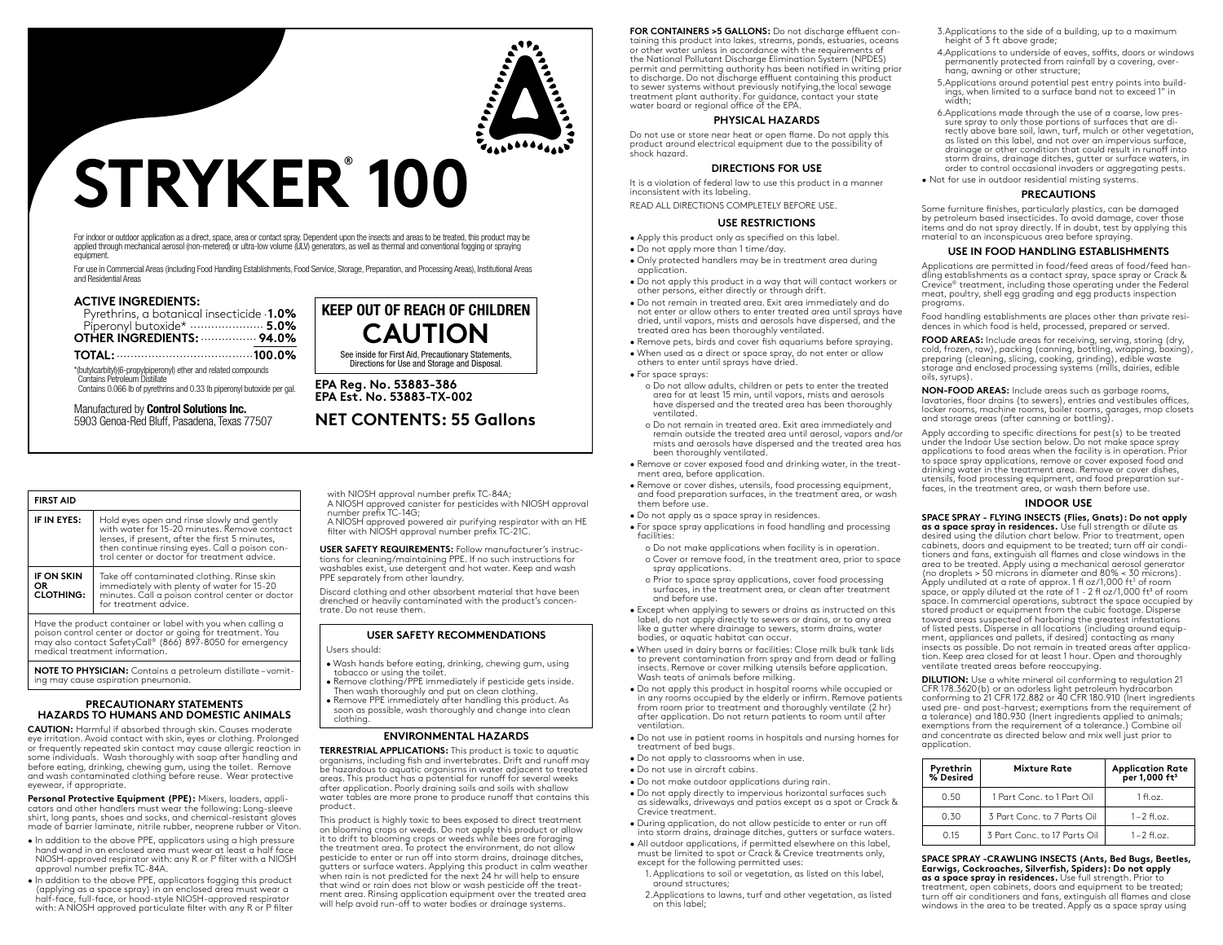

# **STRYKER® 100**

For indoor or outdoor application as a direct, space, area or contact spray. Dependent upon the insects and areas to be treated, this product may be applied through mechanical aerosol (non-metered) or ultra-low volume (ULV) generators, as well as thermal and conventional fogging or spraying equipment.

For use in Commercial Areas (including Food Handling Establishments, Food Service, Storage, Preparation, and Processing Areas), Institutional Areas and Residential Areas

# **ACTIVE INGREDIENTS:**

| Pyrethrins, a botanical insecticide .1.0% |  |
|-------------------------------------------|--|
|                                           |  |
|                                           |  |
|                                           |  |

\*(butylcarbityl)(6-propylpiperonyl) ether and related compounds Contains Petroleum Distillate Contains 0.066 lb of pyrethrins and 0.33 lb piperonyl butoxide per gal.

Manufactured by **Control Solutions Inc.**

5903 Genoa-Red Bluff, Pasadena, Texas 77507

| <b>FIRST AID</b>                             |                                                                                                                                                                                                                                               |
|----------------------------------------------|-----------------------------------------------------------------------------------------------------------------------------------------------------------------------------------------------------------------------------------------------|
| IF IN EYES:                                  | Hold eyes open and rinse slowly and gently<br>with water for 15-20 minutes. Remove contact<br>lenses, if present, after the first 5 minutes,<br>then continue rinsing eyes. Call a poison con-<br>trol center or doctor for treatment advice. |
| <b>IF ON SKIN</b><br>OR.<br><b>CLOTHING:</b> | Take off contaminated clothing. Rinse skin<br>immediately with plenty of water for 15-20<br>minutes. Call a poison control center or doctor<br>for treatment advice.                                                                          |
|                                              | Have the product container or label with you when calling a<br>a string orders houseked on docern considered and service (MF).                                                                                                                |

poison control center or doctor or going for treatment. You may also contact SafetyCall® (866) 897-8050 for emergency medical treatment information.

**NOTE TO PHYSICIAN:** Contains a petroleum distillate – vomit- ing may cause aspiration pneumonia.

### **PRECAUTIONARY STATEMENTS HAZARDS TO HUMANS AND DOMESTIC ANIMALS**

**CAUTION:** Harmful if absorbed through skin. Causes moderate eye irritation. Avoid contact with skin, eyes or clothing. Prolonged or frequently repeated skin contact may cause allergic reaction in some individuals. Wash thoroughly with soap after handling and before eating, drinking, chewing gum, using the toilet. Remove and wash contaminated clothing before reuse. Wear protective eyewear, if appropriate.

**Personal Protective Equipment (PPE):** Mixers, loaders, appli- cators and other handlers must wear the following: Long-sleeve shirt, long pants, shoes and socks, and chemical-resistant gloves made of barrier laminate, nitrile rubber, neoprene rubber or Viton.

- In addition to the above PPE, applicators using a high pressure hand wand in an enclosed area must wear at least a half face NIOSH-approved respirator with: any R or P filter with a NIOSH approval number prefix TC-84A.
- In addition to the above PPE, applicators fogging this product (applying as a space spray) in an enclosed area must wear a half-face, full-face, or hood-style NIOSH-approved respirator with: A NIOSH approved particulate filter with any R or P filter

with NIOSH approval number prefix TC-84A; A NIOSH approved canister for pesticides with NIOSH approval

**KEEP OUT OF REACH OF CHILDREN CAUTION** See inside for First Aid, Precautionary Statements, Directions for Use and Storage and Disposal.

**NET CONTENTS: 55 Gallons**

**EPA Reg. No. 53883-386 EPA Est. No. 53883-TX-002**

number prefix TC-14G; A NIOSH approved powered air purifying respirator with an HE

filter with NIOSH approval number prefix TC-21C.

**USER SAFETY REQUIREMENTS:** Follow manufacturer's instructions for cleaning/maintaining PPE. If no such instructions for washables exist, use detergent and hot water. Keep and wash PPE separately from other laundry.

Discard clothing and other absorbent material that have been drenched or heavily contaminated with the product's concentrate. Do not reuse them.

# **USER SAFETY RECOMMENDATIONS**

Users should:

- Wash hands before eating, drinking, chewing gum, using tobacco or using the toilet.
- Remove clothing/PPE immediately if pesticide gets inside. Then wash thoroughly and put on clean clothing. • Remove PPE immediately after handling this product. As
- soon as possible, wash thoroughly and change into clean clothing.

# **ENVIRONMENTAL HAZARDS**

**TERRESTRIAL APPLICATIONS:** This product is toxic to aquatic organisms, including fish and invertebrates. Drift and runoff may be hazardous to aquatic organisms in water adjacent to treated areas. This product has a potential for runoff for several weeks after application. Poorly draining soils and soils with shallow water tables are more prone to produce runoff that contains this product.

This product is highly toxic to bees exposed to direct treatment on blooming crops or weeds. Do not apply this product or allow it to drift to blooming crops or weeds while bees are foraging the treatment area. To protect the environment, do not allow pesticide to enter or run off into storm drains, drainage ditches, gutters or surface waters. Applying this product in calm weather when rain is not predicted for the next 24 hr will help to ensure that wind or rain does not blow or wash pesticide off the treat- ment area. Rinsing application equipment over the treated area will help avoid run-off to water bodies or drainage systems.

**FOR CONTAINERS >5 GALLONS:** Do not discharge effluent containing this product into lakes, streams, ponds, estuaries, oceans or other water unless in accordance with the requirements of the National Pollutant Discharge Elimination System (NPDES) permit and permitting authority has been notified in writing prior to discharge. Do not discharge effluent containing this product to sewer systems without previously notifying,the local sewage treatment plant authority. For guidance, contact your state water board or regional office of the EPA.

### **PHYSICAL HAZARDS**

Do not use or store near heat or open flame. Do not apply this product around electrical equipment due to the possibility of shock hazard.

### **DIRECTIONS FOR USE**

It is a violation of federal law to use this product in a manner inconsistent with its labeling.

READ ALL DIRECTIONS COMPLETELY BEFORE USE.

### **USE RESTRICTIONS**

- Apply this product only as specified on this label.
- Do not apply more than 1 time/day.
- Only protected handlers may be in treatment area during application.
- Do not apply this product in a way that will contact workers or other persons, either directly or through drift.
- Do not remain in treated area. Exit area immediately and do not enter or allow others to enter treated area until sprays have dried, until vapors, mists and aerosols have dispersed, and the
- treated area has been thoroughly ventilated. • Remove pets, birds and cover fish aquariums before spraying.
- When used as a direct or space spray, do not enter or allow
- others to enter until sprays have dried.
- For space sprays:
- o Do not allow adults, children or pets to enter the treated area for at least 15 min, until vapors, mists and aerosols have dispersed and the treated area has been thoroughly ventilated.
- o Do not remain in treated area. Exit area immediately and remain outside the treated area until aerosol, vapors and/or mists and aerosols have dispersed and the treated area has been thoroughly ventilated.
- Remove or cover exposed food and drinking water, in the treatment area, before application.
- Remove or cover dishes, utensils, food processing equipment, and food preparation surfaces, in the treatment area, or wash them before use.
- Do not apply as a space spray in residences.
- For space spray applications in food handling and processing facilities:
	- o Do not make applications when facility is in operation. o Cover or remove food, in the treatment area, prior to space spray applications.
	- o Prior to space spray applications, cover food processing surfaces, in the treatment area, or clean after treatment and before use.
- Except when applying to sewers or drains as instructed on this label, do not apply directly to sewers or drains, or to any area like a gutter where drainage to sewers, storm drains, water bodies, or aquatic habitat can occur.
- When used in dairy barns or facilities: Close milk bulk tank lids to prevent contamination from spray and from dead or falling insects. Remove or cover milking utensils before application. Wash teats of animals before milking.
- Do not apply this product in hospital rooms while occupied or in any rooms occupied by the elderly or infirm. Remove patients from room prior to treatment and thoroughly ventilate (2 hr) after application. Do not return patients to room until after ventilation.
- Do not use in patient rooms in hospitals and nursing homes for treatment of bed bugs.
- Do not apply to classrooms when in use.
- Do not use in aircraft cabins.
- Do not make outdoor applications during rain.
- Do not apply directly to impervious horizontal surfaces such as sidewalks, driveways and patios except as a spot or Crack & Crevice treatment.
- During application, do not allow pesticide to enter or run off into storm drains, drainage ditches, gutters or surface waters.
- All outdoor applications, if permitted elsewhere on this label, must be limited to spot or Crack & Crevice treatments only, except for the following permitted uses:
	- 1.Applications to soil or vegetation, as listed on this label, around structures;
	- 2.Applications to lawns, turf and other vegetation, as listed on this label;

3.Applications to the side of a building, up to a maximum height of 3 ft above grade;

- 4.Applications to underside of eaves, soffits, doors or windows permanently protected from rainfall by a covering, overhang, awning or other structure;
- 5.Applications around potential pest entry points into buildings, when limited to a surface band not to exceed 1" in width:
- 6.Applications made through the use of a coarse, low pressure spray to only those portions of surfaces that are directly above bare soil, lawn, turf, mulch or other vegetation, as listed on this label, and not over an impervious surface, drainage or other condition that could result in runoff into storm drains, drainage ditches, gutter or surface waters, in order to control occasional invaders or aggregating pests. • Not for use in outdoor residential misting systems.

# **PRECAUTIONS**

Some furniture finishes, particularly plastics, can be damaged by petroleum based insecticides. To avoid damage, cover those items and do not spray directly. If in doubt, test by applying this material to an inconspicuous area before spraying.

# **USE IN FOOD HANDLING ESTABLISHMENTS**

Applications are permitted in food/feed areas of food/feed han- dling establishments as a contact spray, space spray or Crack & Crevice® treatment, including those operating under the Federal meat, poultry, shell egg grading and egg products inspection programs.

Food handling establishments are places other than private resi- dences in which food is held, processed, prepared or served.

**FOOD AREAS:** Include areas for receiving, serving, storing (dry, cold, frozen, raw), packing (canning, bottling, wrapping, boxing), preparing (cleaning, slicing, cooking, grinding), edible waste storage and enclosed processing systems (mills, dairies, edible oils, syrups).

**NON-FOOD AREAS:** Include areas such as garbage rooms, lavatories, floor drains (to sewers), entries and vestibules offices, locker rooms, machine rooms, boiler rooms, garages, mop closets and storage areas (after canning or bottling).

Apply according to specific directions for pest(s) to be treated under the Indoor Use section below. Do not make space spray applications to food areas when the facility is in operation. Prior to space spray applications, remove or cover exposed food and drinking water in the treatment area. Remove or cover dishes, utensils, food processing equipment, and food preparation surfaces, in the treatment area, or wash them before use.

# **INDOOR USE**

**SPACE SPRAY - FLYING INSECTS (Flies, Gnats): Do not apply as a space spray in residences.** Use full strength or dilute as desired using the dilution chart below. Prior to treatment, open cabinets, doors and equipment to be treated; turn off air conditioners and fans, extinguish all flames and close windows in the area to be treated. Apply using a mechanical aerosol generator (no droplets > 50 microns in diameter and 80% < 30 microns). Apply undiluted at a rate of approx. 1 fl oz/1,000 ft<sup>3</sup> of room space, or apply diluted at the rate of 1 - 2 fl oz/1,000 ft<sup>3</sup> of room space. In commercial operations, subtract the space occupied by stored product or equipment from the cubic footage. Disperse toward areas suspected of harboring the greatest infestations of listed pests. Disperse in all locations (including around equipment, appliances and pallets, if desired) contacting as many insects as possible. Do not remain in treated areas after application. Keep area closed for at least 1 hour. Open and thoroughly ventilate treated areas before reoccupying.

**DILUTION:** Use a white mineral oil conforming to regulation 21 CFR 178.3620(b) or an odorless light petroleum hydrocarbon conforming to 21 CFR 172.882 or 40 CFR 180.910 (Inert ingredients used pre- and post-harvest; exemptions from the requirement of a tolerance) and 180.930 (Inert ingredients applied to animals; exemptions from the requirement of a tolerance.) Combine oil and concentrate as directed below and mix well just prior to application.

| Pyrethrin<br>% Desired | <b>Mixture Rate</b>          | Application Rate<br>per 1,000 ft <sup>3</sup> |
|------------------------|------------------------------|-----------------------------------------------|
| 0.50                   | 1 Part Conc. to 1 Part Oil   | 1ff.oz.                                       |
| 0.30                   | 3 Part Conc. to 7 Parts Oil  | $1 - 2$ fl.oz.                                |
| 0.15                   | 3 Part Conc. to 17 Parts Oil | $1 - 2$ fl.oz.                                |

**SPACE SPRAY -CRAWLING INSECTS (Ants, Bed Bugs, Beetles, Earwigs, Cockroaches, Silverfish, Spiders): Do not apply as a space spray in residences.** Use full strength. Prior to

treatment, open cabinets, doors and equipment to be treated; turn off air conditioners and fans, extinguish all flames and close windows in the area to be treated. Apply as a space spray using